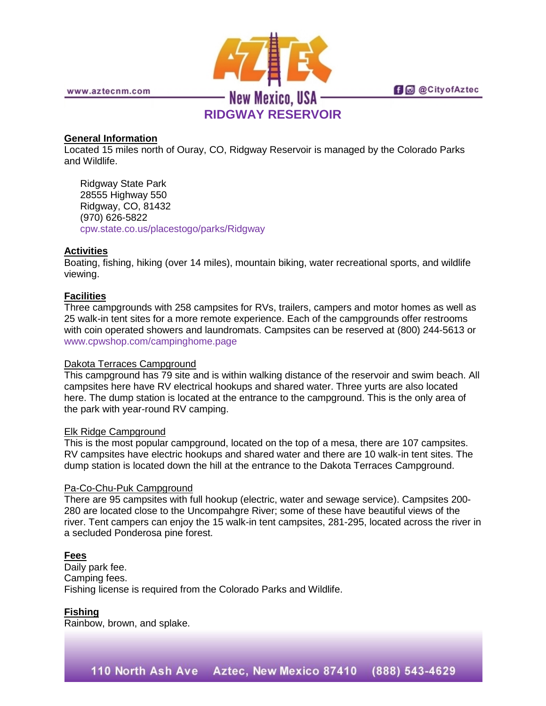

www.aztecnm.com

# **fi** @ @ City of Aztec

## **RIDGWAY RESERVOIR**

#### **General Information**

Located 15 miles north of Ouray, CO, Ridgway Reservoir is managed by the Colorado Parks and Wildlife.

Ridgway State Park 28555 Highway 550 Ridgway, CO, 81432 (970) 626-5822 [cpw.state.co.us/placestogo/parks/Ridgway](http://cpw.state.co.us/placestogo/parks/Ridgway)

#### **Activities**

Boating, fishing, hiking (over 14 miles), mountain biking, water recreational sports, and wildlife viewing.

## **Facilities**

Three campgrounds with 258 campsites for RVs, trailers, campers and motor homes as well as 25 walk-in tent sites for a more remote experience. Each of the campgrounds offer restrooms with coin operated showers and laundromats. Campsites can be reserved at (800) 244-5613 or [www.cpwshop.com/campinghome.page](http://www.cpwshop.com/campinghome.page)

#### Dakota Terraces Campground

This campground has 79 site and is within walking distance of the reservoir and swim beach. All campsites here have RV electrical hookups and shared water. Three yurts are also located here. The dump station is located at the entrance to the campground. This is the only area of the park with year-round RV camping.

#### Elk Ridge Campground

This is the most popular campground, located on the top of a mesa, there are 107 campsites. RV campsites have electric hookups and shared water and there are 10 walk-in tent sites. The dump station is located down the hill at the entrance to the Dakota Terraces Campground.

#### Pa-Co-Chu-Puk Campground

There are 95 campsites with full hookup (electric, water and sewage service). Campsites 200- 280 are located close to the Uncompahgre River; some of these have beautiful views of the river. Tent campers can enjoy the 15 walk-in tent campsites, 281-295, located across the river in a secluded Ponderosa pine forest.

#### **Fees**

Daily park fee. Camping fees. Fishing license is required from the Colorado Parks and Wildlife.

#### **Fishing**

Rainbow, brown, and splake.

110 North Ash Ave Aztec, New Mexico 87410 (888) 543-4629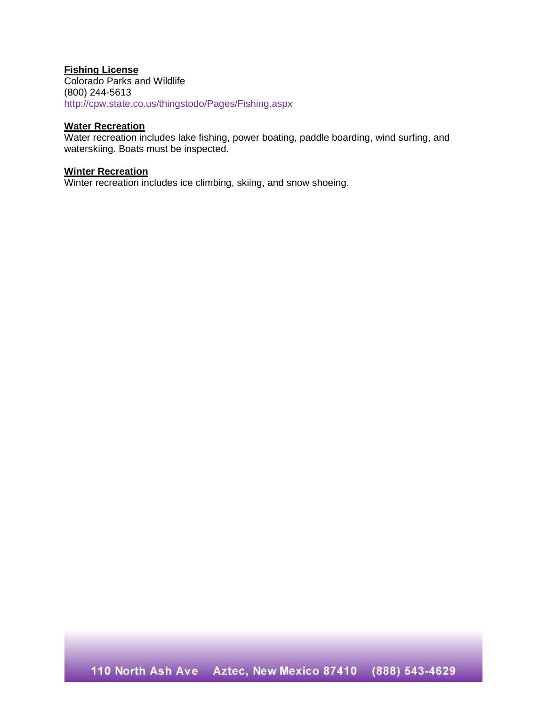## **Fishing License**

Colorado Parks and Wildlife (800) 244-5613 <http://cpw.state.co.us/thingstodo/Pages/Fishing.aspx>

## **Water Recreation**

Water recreation includes lake fishing, power boating, paddle boarding, wind surfing, and waterskiing. Boats must be inspected.

#### **Winter Recreation**

Winter recreation includes ice climbing, skiing, and snow shoeing.